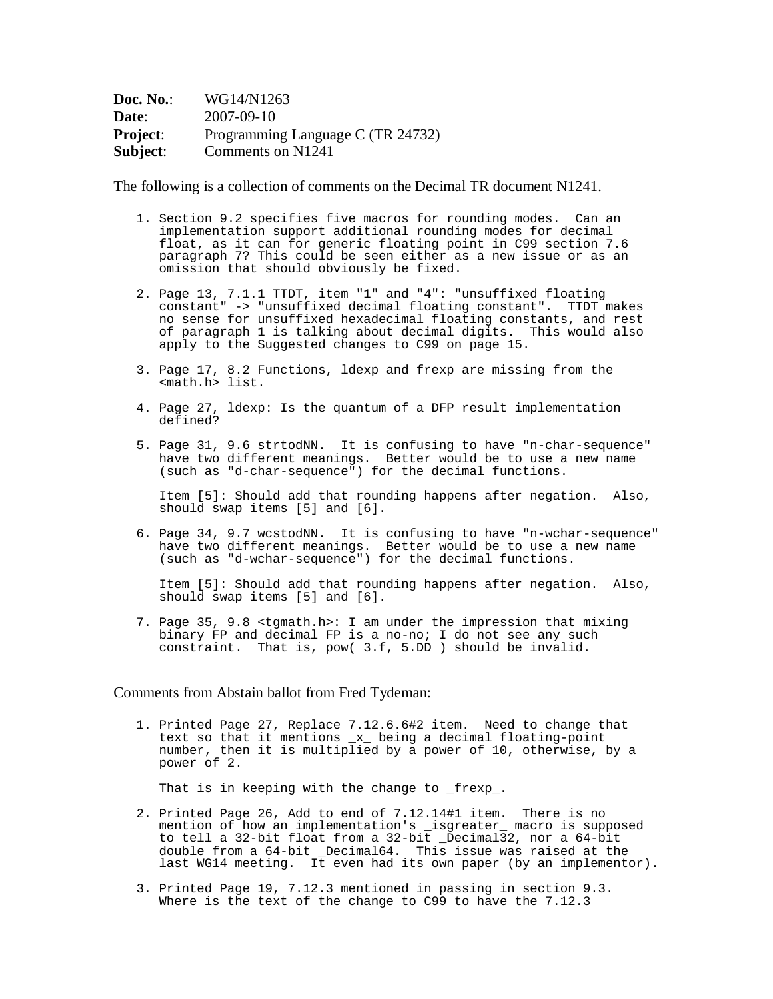| Doc. No.:       | WG14/N1263                        |
|-----------------|-----------------------------------|
| Date:           | 2007-09-10                        |
| <b>Project:</b> | Programming Language C (TR 24732) |
| Subject:        | Comments on N1241                 |

The following is a collection of comments on the Decimal TR document N1241.

- 1. Section 9.2 specifies five macros for rounding modes. Can an implementation support additional rounding modes for decimal float, as it can for generic floating point in C99 section 7.6 paragraph 7? This could be seen either as a new issue or as an omission that should obviously be fixed.
- 2. Page 13, 7.1.1 TTDT, item "1" and "4": "unsuffixed floating constant" -> "unsuffixed decimal floating constant". TTDT makes no sense for unsuffixed hexadecimal floating constants, and rest of paragraph 1 is talking about decimal digits. This would also apply to the Suggested changes to C99 on page 15.
- 3. Page 17, 8.2 Functions, ldexp and frexp are missing from the <math.h> list.
- 4. Page 27, ldexp: Is the quantum of a DFP result implementation defined?
- 5. Page 31, 9.6 strtodNN. It is confusing to have "n-char-sequence" have two different meanings. Better would be to use a new name (such as "d-char-sequence") for the decimal functions.

Item [5]: Should add that rounding happens after negation. Also, should swap items [5] and [6].

6. Page 34, 9.7 wcstodNN. It is confusing to have "n-wchar-sequence" have two different meanings. Better would be to use a new name (such as "d-wchar-sequence") for the decimal functions.

Item [5]: Should add that rounding happens after negation. Also, should swap items [5] and [6].

7. Page 35, 9.8 <tgmath.h>: I am under the impression that mixing binary FP and decimal FP is a no-no; I do not see any such constraint. That is, pow( 3.f, 5.DD ) should be invalid.

## Comments from Abstain ballot from Fred Tydeman:

1. Printed Page 27, Replace 7.12.6.6#2 item. Need to change that text so that it mentions \_x\_ being a decimal floating-point number, then it is multiplied by a power of 10, otherwise, by a power of 2.

That is in keeping with the change to \_frexp\_.

- 2. Printed Page 26, Add to end of 7.12.14#1 item. There is no mention of how an implementation's \_isgreater\_ macro is supposed to tell a 32-bit float from a 32-bit \_Decimal32, nor a 64-bit double from a 64-bit \_Decimal64. This issue was raised at the last WG14 meeting. It even had its own paper (by an implementor).
- 3. Printed Page 19, 7.12.3 mentioned in passing in section 9.3. Where is the text of the change to C99 to have the 7.12.3